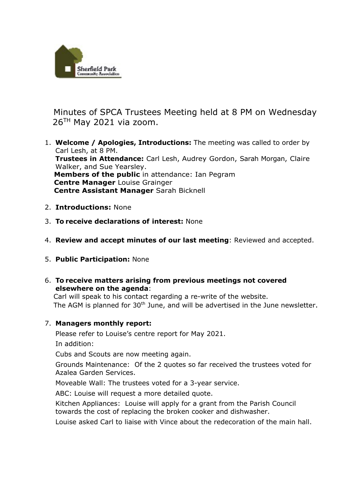

Minutes of SPCA Trustees Meeting held at 8 PM on Wednesday  $26<sup>TH</sup>$  May 2021 via zoom.

- 1. **Welcome / Apologies, Introductions:** The meeting was called to order by Carl Lesh, at 8 PM. **Trustees in Attendance:** Carl Lesh, Audrey Gordon, Sarah Morgan, Claire Walker, and Sue Yearsley. **Members of the public** in attendance: Ian Pegram  **Centre Manager** Louise Grainger  **Centre Assistant Manager** Sarah Bicknell
- 2. **Introductions:** None
- 3. **To receive declarations of interest:** None
- 4. **Review and accept minutes of our last meeting**: Reviewed and accepted.
- 5. **Public Participation:** None
- 6. **To receive matters arising from previous meetings not covered elsewhere on the agenda**:

Carl will speak to his contact regarding a re-write of the website. The AGM is planned for 30<sup>th</sup> June, and will be advertised in the June newsletter.

## 7. **Managers monthly report:**

Please refer to Louise's centre report for May 2021.

In addition:

Cubs and Scouts are now meeting again.

Grounds Maintenance: Of the 2 quotes so far received the trustees voted for Azalea Garden Services.

Moveable Wall: The trustees voted for a 3-year service.

ABC: Louise will request a more detailed quote.

Kitchen Appliances: Louise will apply for a grant from the Parish Council towards the cost of replacing the broken cooker and dishwasher.

Louise asked Carl to liaise with Vince about the redecoration of the main hall.